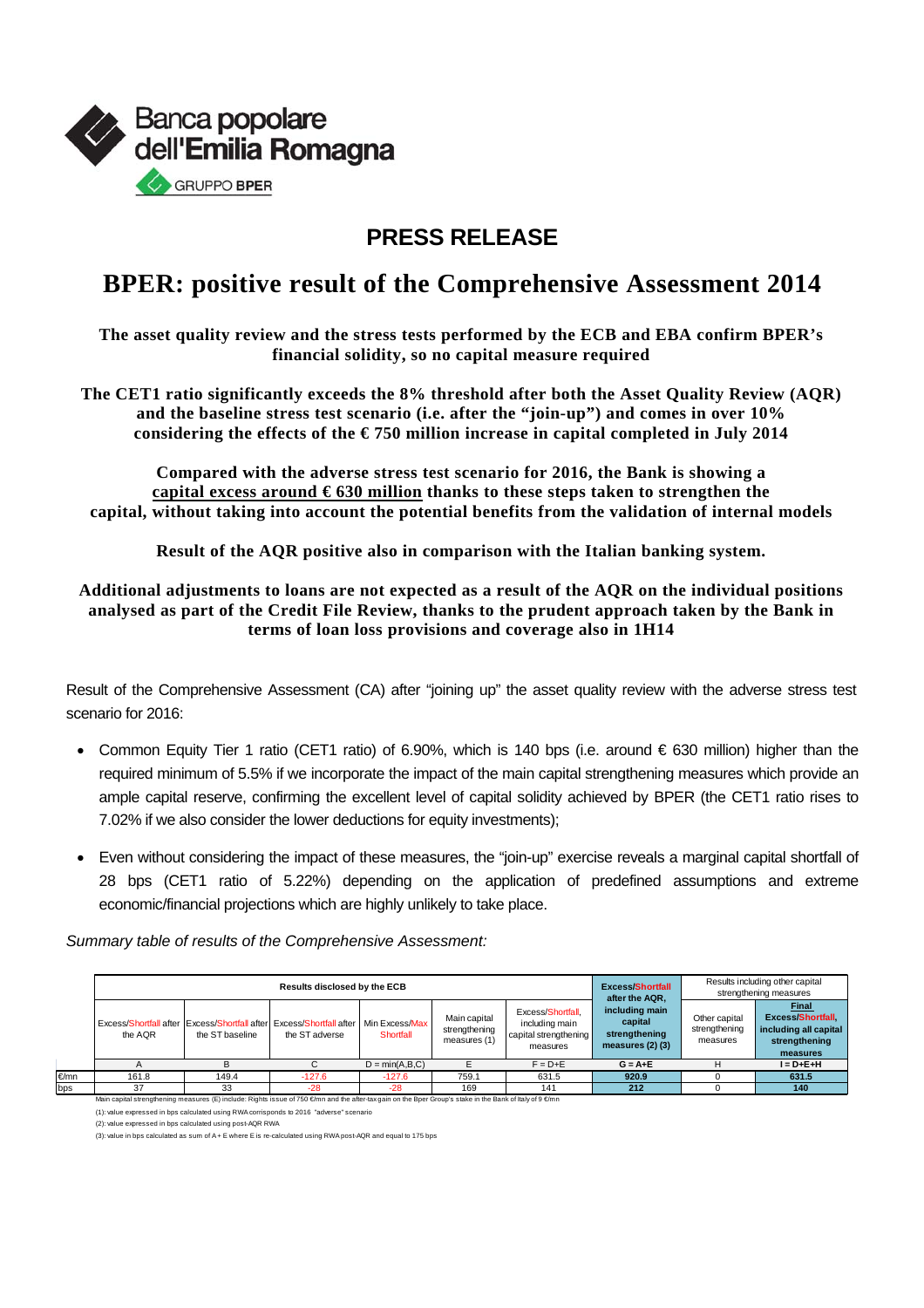

## **PRESS RELEASE**

## **BPER: positive result of the Comprehensive Assessment 2014**

**The asset quality review and the stress tests performed by the ECB and EBA confirm BPER's financial solidity, so no capital measure required** 

**The CET1 ratio significantly exceeds the 8% threshold after both the Asset Quality Review (AQR) and the baseline stress test scenario (i.e. after the "join-up") and comes in over 10% considering the effects of the € 750 million increase in capital completed in July 2014** 

**Compared with the adverse stress test scenario for 2016, the Bank is showing a capital excess around € 630 million thanks to these steps taken to strengthen the capital, without taking into account the potential benefits from the validation of internal models** 

**Result of the AQR positive also in comparison with the Italian banking system.** 

**Additional adjustments to loans are not expected as a result of the AQR on the individual positions analysed as part of the Credit File Review, thanks to the prudent approach taken by the Bank in terms of loan loss provisions and coverage also in 1H14** 

Result of the Comprehensive Assessment (CA) after "joining up" the asset quality review with the adverse stress test scenario for 2016:

- Common Equity Tier 1 ratio (CET1 ratio) of 6.90%, which is 140 bps (i.e. around € 630 million) higher than the required minimum of 5.5% if we incorporate the impact of the main capital strengthening measures which provide an ample capital reserve, confirming the excellent level of capital solidity achieved by BPER (the CET1 ratio rises to 7.02% if we also consider the lower deductions for equity investments);
- Even without considering the impact of these measures, the "join-up" exercise reveals a marginal capital shortfall of 28 bps (CET1 ratio of 5.22%) depending on the application of predefined assumptions and extreme economic/financial projections which are highly unlikely to take place.

*Summary table of results of the Comprehensive Assessment:* 

|      |         | <b>Excess/Shortfall</b><br>after the AQR, | Results including other capital<br>strengthening measures                                                                                                 |                             |                                               |                                                                          |                                                                    |                                            |                                                                                               |
|------|---------|-------------------------------------------|-----------------------------------------------------------------------------------------------------------------------------------------------------------|-----------------------------|-----------------------------------------------|--------------------------------------------------------------------------|--------------------------------------------------------------------|--------------------------------------------|-----------------------------------------------------------------------------------------------|
|      | the AQR | the ST baseline                           | Excess/Shortfall after I Excess/Shortfall after Excess/Shortfall after<br>the ST adverse                                                                  | Min Excess/Max<br>Shortfall | Main capital<br>strengthening<br>measures (1) | Excess/Shortfall.<br>including main<br>capital strengthening<br>measures | including main<br>capital<br>strengthening<br>measures $(2)$ $(3)$ | Other capital<br>strengthening<br>measures | <b>Final</b><br><b>Excess/Shortfall</b><br>including all capital<br>strengthening<br>measures |
|      |         |                                           |                                                                                                                                                           | $D = min(A,B,C)$            |                                               | $F = D + E$                                                              | $G = A + E$                                                        |                                            | $I = D + E + H$                                                                               |
| €/mn | 161.8   | 149.4                                     | $-127.6$                                                                                                                                                  | $-127.6$                    | 759.1                                         | 631.5                                                                    | 920.9                                                              |                                            | 631.5                                                                                         |
| bps  | 37      | 33                                        | $-28$                                                                                                                                                     | $-28$                       | 169                                           | 141                                                                      | 212                                                                |                                            | 140                                                                                           |
|      |         |                                           | Main capital strengthening measures (E) include: Rights issue of 750 €/mn and the after-tax gain on the Bper Group's stake in the Bank of Italy of 9 €/mn |                             |                                               |                                                                          |                                                                    |                                            |                                                                                               |

(1): value expressed in bps calculated using RWA corrisponds to 2016 "adverse" scenario

(2): value expressed in bps calculated using post-AQR RWA

(3): value in bps calculated as sum of A + E where E is re-calculated using RWA post-AQR and equal to 175 bps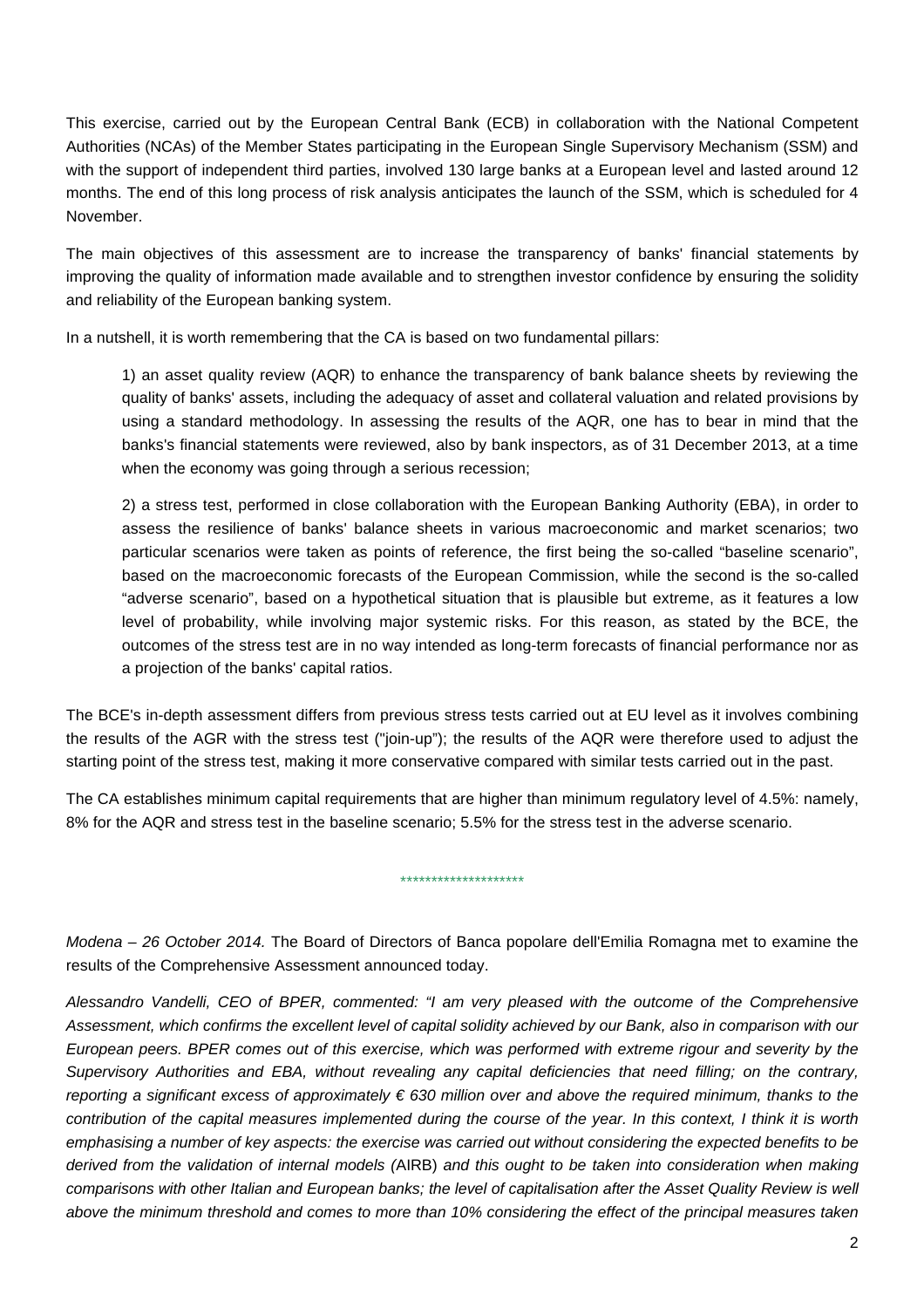This exercise, carried out by the European Central Bank (ECB) in collaboration with the National Competent Authorities (NCAs) of the Member States participating in the European Single Supervisory Mechanism (SSM) and with the support of independent third parties, involved 130 large banks at a European level and lasted around 12 months. The end of this long process of risk analysis anticipates the launch of the SSM, which is scheduled for 4 November.

The main objectives of this assessment are to increase the transparency of banks' financial statements by improving the quality of information made available and to strengthen investor confidence by ensuring the solidity and reliability of the European banking system.

In a nutshell, it is worth remembering that the CA is based on two fundamental pillars:

1) an asset quality review (AQR) to enhance the transparency of bank balance sheets by reviewing the quality of banks' assets, including the adequacy of asset and collateral valuation and related provisions by using a standard methodology. In assessing the results of the AQR, one has to bear in mind that the banks's financial statements were reviewed, also by bank inspectors, as of 31 December 2013, at a time when the economy was going through a serious recession;

2) a stress test, performed in close collaboration with the European Banking Authority (EBA), in order to assess the resilience of banks' balance sheets in various macroeconomic and market scenarios; two particular scenarios were taken as points of reference, the first being the so-called "baseline scenario", based on the macroeconomic forecasts of the European Commission, while the second is the so-called "adverse scenario", based on a hypothetical situation that is plausible but extreme, as it features a low level of probability, while involving major systemic risks. For this reason, as stated by the BCE, the outcomes of the stress test are in no way intended as long-term forecasts of financial performance nor as a projection of the banks' capital ratios.

The BCE's in-depth assessment differs from previous stress tests carried out at EU level as it involves combining the results of the AGR with the stress test ("join-up"); the results of the AQR were therefore used to adjust the starting point of the stress test, making it more conservative compared with similar tests carried out in the past.

The CA establishes minimum capital requirements that are higher than minimum regulatory level of 4.5%: namely, 8% for the AQR and stress test in the baseline scenario; 5.5% for the stress test in the adverse scenario.

\*\*\*\*\*\*\*\*\*\*\*\*\*\*\*\*\*\*\*\*

*Modena – 26 October 2014.* The Board of Directors of Banca popolare dell'Emilia Romagna met to examine the results of the Comprehensive Assessment announced today.

*Alessandro Vandelli, CEO of BPER, commented: "I am very pleased with the outcome of the Comprehensive Assessment, which confirms the excellent level of capital solidity achieved by our Bank, also in comparison with our European peers. BPER comes out of this exercise, which was performed with extreme rigour and severity by the Supervisory Authorities and EBA, without revealing any capital deficiencies that need filling; on the contrary, reporting a significant excess of approximately € 630 million over and above the required minimum, thanks to the contribution of the capital measures implemented during the course of the year. In this context, I think it is worth emphasising a number of key aspects: the exercise was carried out without considering the expected benefits to be derived from the validation of internal models (*AIRB) *and this ought to be taken into consideration when making comparisons with other Italian and European banks; the level of capitalisation after the Asset Quality Review is well above the minimum threshold and comes to more than 10% considering the effect of the principal measures taken*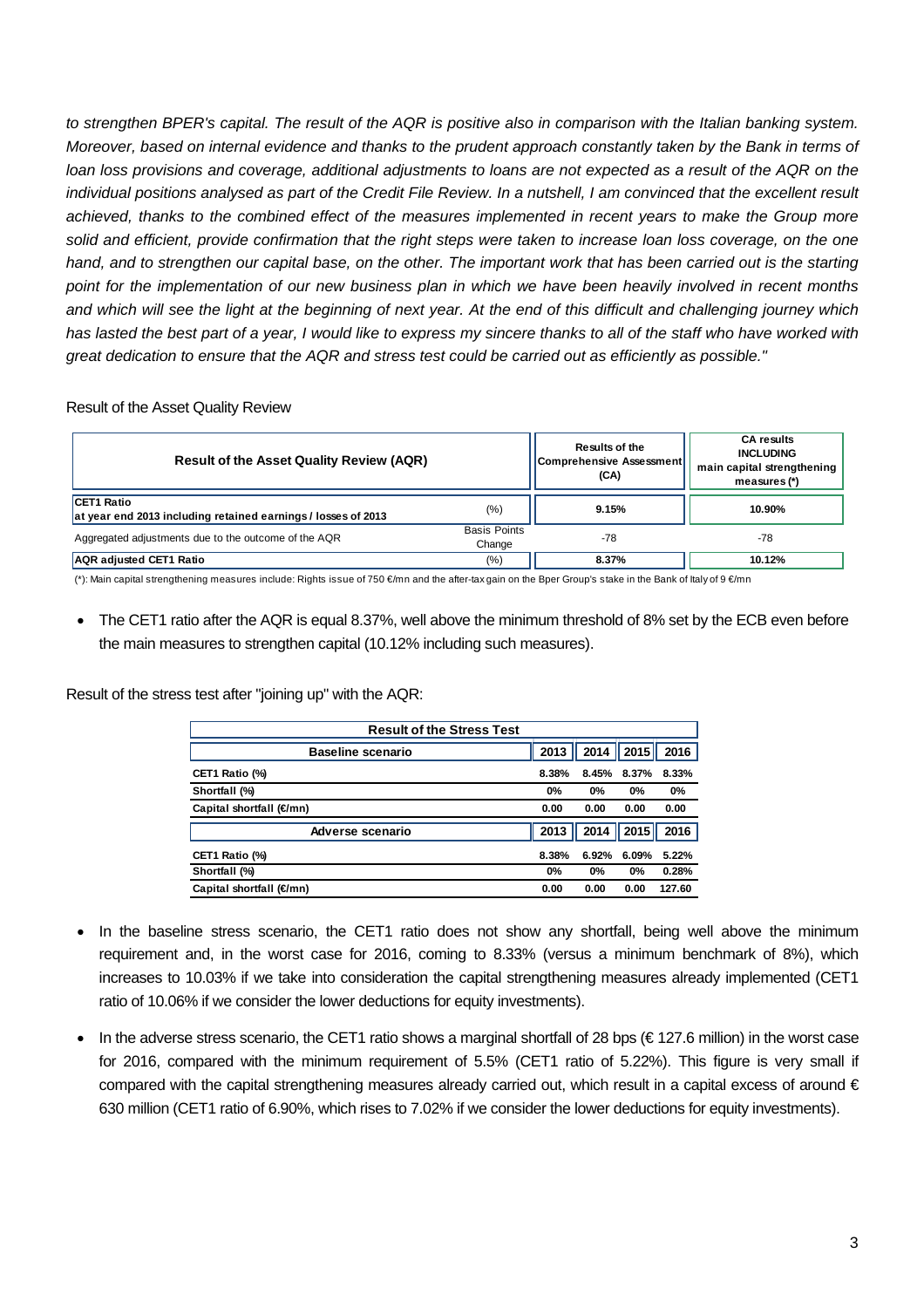to strengthen BPER's capital. The result of the AQR is positive also in comparison with the Italian banking system. *Moreover, based on internal evidence and thanks to the prudent approach constantly taken by the Bank in terms of loan loss provisions and coverage, additional adjustments to loans are not expected as a result of the AQR on the individual positions analysed as part of the Credit File Review. In a nutshell, I am convinced that the excellent result achieved, thanks to the combined effect of the measures implemented in recent years to make the Group more solid and efficient, provide confirmation that the right steps were taken to increase loan loss coverage, on the one*  hand, and to strengthen our capital base, on the other. The important work that has been carried out is the starting *point for the implementation of our new business plan in which we have been heavily involved in recent months and which will see the light at the beginning of next year. At the end of this difficult and challenging journey which has lasted the best part of a year, I would like to express my sincere thanks to all of the staff who have worked with great dedication to ensure that the AQR and stress test could be carried out as efficiently as possible."* 

Result of the Asset Quality Review

| <b>Result of the Asset Quality Review (AQR)</b>                                    | <b>Results of the</b><br>Comprehensive Assessment<br>(CA) | <b>CA results</b><br><b>INCLUDING</b><br>main capital strengthening<br>measures $(*)$ |        |
|------------------------------------------------------------------------------------|-----------------------------------------------------------|---------------------------------------------------------------------------------------|--------|
| <b>CET1 Ratio</b><br>at year end 2013 including retained earnings / losses of 2013 | (%)                                                       | 9.15%                                                                                 | 10.90% |
| Aggregated adjustments due to the outcome of the AQR                               | <b>Basis Points</b><br>Change                             | $-78$                                                                                 | -78    |
| <b>AQR</b> adjusted CET1 Ratio                                                     | $\frac{(9)}{0}$                                           | 8.37%                                                                                 | 10.12% |

(\*): Main capital strengthening measures include: Rights issue of 750 €/mn and the after-tax gain on the Bper Group's stake in the Bank of Italy of 9 €/mn

 The CET1 ratio after the AQR is equal 8.37%, well above the minimum threshold of 8% set by the ECB even before the main measures to strengthen capital (10.12% including such measures).

Result of the stress test after "joining up" with the AQR:

| <b>Result of the Stress Test</b> |       |       |       |        |  |  |  |  |
|----------------------------------|-------|-------|-------|--------|--|--|--|--|
| <b>Baseline scenario</b>         | 2013  | 2014  | 2015  | 2016   |  |  |  |  |
| CET1 Ratio (%)                   | 8.38% | 8.45% | 8.37% | 8.33%  |  |  |  |  |
| Shortfall (%)                    |       | $0\%$ | 0%    | 0%     |  |  |  |  |
| Capital shortfall (€mn)          | 0.00  | 0.00  | 0.00  | 0.00   |  |  |  |  |
| Adverse scenario                 | 2013  | 2014  | 2015  | 2016   |  |  |  |  |
| CET1 Ratio (%)                   | 8.38% | 6.92% | 6.09% | 5.22%  |  |  |  |  |
| Shortfall (%)                    | 0%    | 0%    | 0%    | 0.28%  |  |  |  |  |
| Capital shortfall (€mn)          |       | 0.00  | 0.00  | 127.60 |  |  |  |  |

- In the baseline stress scenario, the CET1 ratio does not show any shortfall, being well above the minimum requirement and, in the worst case for 2016, coming to 8.33% (versus a minimum benchmark of 8%), which increases to 10.03% if we take into consideration the capital strengthening measures already implemented (CET1 ratio of 10.06% if we consider the lower deductions for equity investments).
- In the adverse stress scenario, the CET1 ratio shows a marginal shortfall of 28 bps ( $\in$  127.6 million) in the worst case for 2016, compared with the minimum requirement of 5.5% (CET1 ratio of 5.22%). This figure is very small if compared with the capital strengthening measures already carried out, which result in a capital excess of around  $\epsilon$ 630 million (CET1 ratio of 6.90%, which rises to 7.02% if we consider the lower deductions for equity investments).